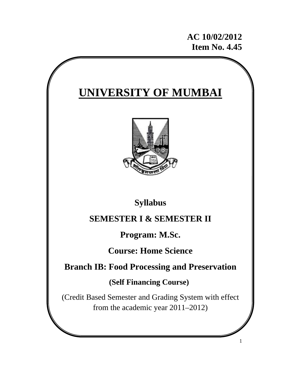# **AC 10/02/2012 Item No. 4.45**

1

# **UNIVERSITY OF MUMBAI**



# **Syllabus**

# **SEMESTER I & SEMESTER II**

# **Program: M.Sc.**

**Course: Home Science** 

# **Branch IB: Food Processing and Preservation**

# **(Self Financing Course)**

(Credit Based Semester and Grading System with effect from the academic year 2011–2012)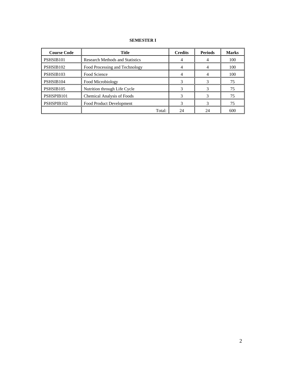# **SEMESTER I**

| <b>Course Code</b>     | <b>Title</b>                           | <b>Credits</b> | <b>Periods</b> | <b>Marks</b> |
|------------------------|----------------------------------------|----------------|----------------|--------------|
| PSHSIB <sub>101</sub>  | <b>Research Methods and Statistics</b> |                |                | 100          |
| PSHSIB <sub>102</sub>  | Food Processing and Technology         |                |                | 100          |
| PSHSIB103              | Food Science                           |                |                | 100          |
| PSHSIB104              | Food Microbiology                      |                |                | 75           |
| PSHSIB <sub>105</sub>  | Nutrition through Life Cycle           |                |                | 75           |
| PSHSPIB101             | Chemical Analysis of Foods             |                |                | 75           |
| PSHSPIB <sub>102</sub> | Food Product Development               |                |                | 75           |
|                        | Total:                                 | 24             | 24             | 600          |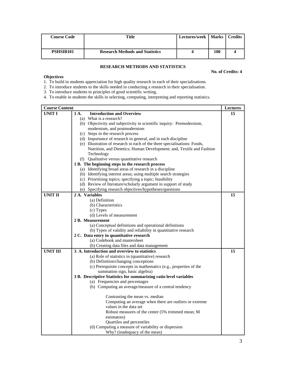| <b>Course Code</b>    | Title                                  | Lectures/week   Marks   Credits |     |  |
|-----------------------|----------------------------------------|---------------------------------|-----|--|
|                       |                                        |                                 |     |  |
| PSHSIB <sub>101</sub> | <b>Research Methods and Statistics</b> |                                 | 100 |  |

# **RESEARCH METHODS AND STATISTICS**

#### **No. of Credits: 4**

# **Objectives**

1. To build in students appreciation for high quality research in each of their specialisations.

2. To introduce students to the skills needed in conducting a research in their specialisation.

3. To introduce students to principles of good scientific writing.

4. To enable in students the skills in selecting, computing, interpreting and reporting statistics.

| <b>Course Content</b> |                                                                                          | <b>Lectures</b> |
|-----------------------|------------------------------------------------------------------------------------------|-----------------|
| <b>UNIT I</b>         | <b>Introduction and Overview</b><br>1 A.                                                 | 15              |
|                       | (a) What is a research?                                                                  |                 |
|                       | (b) Objectivity and subjectivity in scientific inquiry: Premodernism,                    |                 |
|                       | modernism, and postmodernism                                                             |                 |
|                       | (c) Steps in the research process                                                        |                 |
|                       | (d) Importance of research in general, and in each discipline                            |                 |
|                       | (e) Illustration of research in each of the three specialisations: Foods,                |                 |
|                       | Nutrition, and Dietetics; Human Development; and, Textile and Fashion                    |                 |
|                       | Technology                                                                               |                 |
|                       | (f) Qualitative versus quantitative research                                             |                 |
|                       | 1 B. The beginning steps in the research process                                         |                 |
|                       | (a) Identifying broad areas of research in a discipline                                  |                 |
|                       | (b) Identifying interest areas; using multiple search strategies                         |                 |
|                       | (c) Prioritising topics; specifying a topic; feasibility                                 |                 |
|                       | (d) Review of literature/scholarly argument in support of study                          |                 |
|                       | (e) Specifying research objectives/hypotheses/questions                                  |                 |
| <b>UNIT II</b>        | 2 A. Variables                                                                           | 15              |
|                       | (a) Definition                                                                           |                 |
|                       | (b) Characteristics                                                                      |                 |
|                       | (c) Types                                                                                |                 |
|                       | (d) Levels of measurement                                                                |                 |
|                       | 2 B. Measurement                                                                         |                 |
|                       | (a) Conceptual definitions and operational definitions                                   |                 |
|                       | (b) Types of validity and reliability in quantitative research                           |                 |
|                       | 2 C. Data entry in quantitative research                                                 |                 |
|                       | (a) Codebook and mastersheet                                                             |                 |
|                       | (b) Creating data files and data management                                              |                 |
| <b>UNIT III</b>       | 3. A. Introduction and overview to statistics                                            | 15              |
|                       | (a) Role of statistics in (quantitative) research<br>(b) Definition/changing conceptions |                 |
|                       | (c) Prerequisite concepts in mathematics (e.g., properties of the                        |                 |
|                       | summation sign, basic algebra)                                                           |                 |
|                       | 3 B. Descriptive Statistics for summarizing ratio level variables                        |                 |
|                       | (a) Frequencies and percentages                                                          |                 |
|                       | (b) Computing an average/measure of a central tendency                                   |                 |
|                       |                                                                                          |                 |
|                       | Contrasting the mean vs. median                                                          |                 |
|                       | Computing an average when there are outliers or extreme                                  |                 |
|                       | values in the data set                                                                   |                 |
|                       | Robust measures of the center (5% trimmed mean; M                                        |                 |
|                       | estimators)                                                                              |                 |
|                       | Quartiles and percentiles                                                                |                 |
|                       | (d) Computing a measure of variability or dispersion                                     |                 |
|                       | Why? (inadequacy of the mean)                                                            |                 |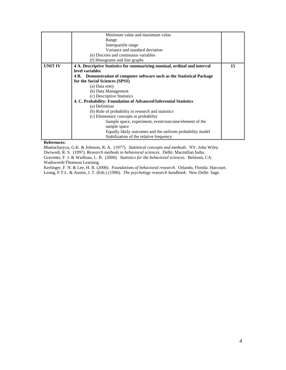|                | Minimum value and maximum value                                           |    |
|----------------|---------------------------------------------------------------------------|----|
|                | Range                                                                     |    |
|                | Interquartile range                                                       |    |
|                | Variance and standard deviation                                           |    |
|                | (e) Discrete and continuous variables                                     |    |
|                | (f) Histograms and line graphs                                            |    |
| <b>UNIT IV</b> | 4 A. Descriptive Statistics for summarizing nominal, ordinal and interval | 15 |
|                | level variables                                                           |    |
|                | 4 B. Demonstration of computer software such as the Statistical Package   |    |
|                | for the Social Sciences (SPSS)                                            |    |
|                | (a) Data entry                                                            |    |
|                | (b) Data Management                                                       |    |
|                | (c) Descriptive Statistics                                                |    |
|                | 4. C. Probability: Foundation of Advanced/Inferential Statistics          |    |
|                | (a) Definition                                                            |    |
|                | (b) Role of probability in research and statistics                        |    |
|                | (c) Elementary concepts in probability                                    |    |
|                | Sample space, experiment, event/outcome/element of the                    |    |
|                | sample space                                                              |    |
|                | Equally likely outcomes and the uniform probability model                 |    |
|                | Stabilization of the relative frequency                                   |    |

#### **References:**

Bhattacharyya, G.K. & Johnson, R. A. (1977). *Statistical concepts and methods.* NY: John Wiley.

Dwiwedi, R. S. (1997). *Research methods in behavioral sciences.* Delhi: Macmillan India.

Gravetter, F. J. & Waillnau, L. B. (2000). *Statistics for the behavioral sciences.* Belmont, CA: Wadsworth/Thomson Learning.

Kerlinger, F. N. & Lee, H. B. (2000). *Foundations of behavioral research.* Orlando, Florida: Harcourt. Leong, F.T.L. & Austin, J. T. (Eds.) (1996). *The psychology research handbook.* New Delhi: Sage.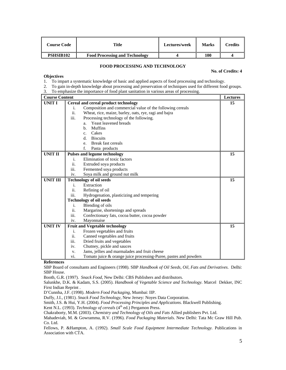| C <b>ourse Code</b> | Title                                 | <b>Lectures/week</b> | <b>Marks</b> | Credits |
|---------------------|---------------------------------------|----------------------|--------------|---------|
| <b>PSHSIB102</b>    | <b>Food Processing and Technology</b> |                      | 100          |         |

#### **FOOD PROCESSING AND TECHNOLOGY**

#### **No. of Credits: 4**

# **Objectives**

1. To impart a systematic knowledge of basic and applied aspects of food processing and technology.

- 2. To gain in-depth knowledge about processing and preservation of techniques used for different food groups.
- 3. To emphasize the importance of food plant sanitation in various areas of processing.

| <b>Course Content</b> |                                                                         | <b>Lectures</b> |
|-----------------------|-------------------------------------------------------------------------|-----------------|
| <b>UNIT I</b>         | Cereal and cereal product technology                                    | 15              |
|                       | Composition and commercial value of the following cereals<br>i.         |                 |
|                       | ii.<br>Wheat, rice, maize, barley, oats, rye, ragi and bajra            |                 |
|                       | iii.<br>Processing technology of the following.                         |                 |
|                       | Yeast leavened breads<br>a.                                             |                 |
|                       | <b>Muffins</b><br>$h_{\cdot}$                                           |                 |
|                       | Cakes<br>$\mathbf{c}$ .                                                 |                 |
|                       | <b>Biscuits</b><br>d.                                                   |                 |
|                       | Break fast cereals<br>e.                                                |                 |
|                       | f.<br>Pasta products                                                    |                 |
| <b>UNIT II</b>        | <b>Pulses and legume technology</b>                                     | 15              |
|                       | Elimination of toxic factors<br>i.                                      |                 |
|                       | ii.<br>Extruded soya products                                           |                 |
|                       | iii.<br>Fermented soya products                                         |                 |
|                       | Soya milk and ground nut milk<br>iv.                                    |                 |
| <b>UNIT III</b>       | <b>Technology of oil seeds</b>                                          | 15              |
|                       | Extraction<br>i.                                                        |                 |
|                       | ii.<br>Refining of oil                                                  |                 |
|                       | iii.<br>Hydrogenation, plasticizing and tempering                       |                 |
|                       | <b>Technology of oil seeds</b>                                          |                 |
|                       | Blending of oils<br>i.                                                  |                 |
|                       | Margarine, shortenings and spreads<br>ii.                               |                 |
|                       | iii.<br>Confectionary fats, cocoa butter, cocoa powder                  |                 |
|                       | Mayonnaise<br>iv.                                                       |                 |
| <b>UNIT IV</b>        | <b>Fruit and Vegetable technology</b>                                   | 15              |
|                       | Frozen vegetables and fruits<br>i.                                      |                 |
|                       | ii.<br>Canned vegetables and fruits                                     |                 |
|                       | iii.<br>Dried fruits and vegetables                                     |                 |
|                       | Chutney, pickle and sauces<br>iv.                                       |                 |
|                       | Jams, jellies and marmalades and fruit cheese<br>V.                     |                 |
|                       | Tomato juice & orange juice processing-Puree, pastes and powders<br>vi. |                 |

#### **References**

SBP Board of consultants and Engineers (1998). SBP *Handbook of Oil Seeds, Oil, Fats and Derivatives*. Delhi: SBP House.

Booth, G.R. (1997). *Snack Food*, New Delhi: CBS Publishers and distributors.

Salunkhe, D.K. & Kadam, S.S. (2005). *Handbook of Vegetable Science and Technology.* Marcel Dekker, INC First Indian Reprint .

D'Cunnha, J.F. (1998). *Modern Food Packaging*, Mumbai: IIP.

Duffy, J.I., (1981). *Snack Food Technology*, New Jersey: Noyes Data Corporation.

Smith, J.S. & Hui, Y.H. (2004). *Food Processing Principles and Applications.* Blackwell Publishing.

Kent N.L. (1993). *Technology of cereals* (4<sup>th</sup> ed.) Pergamon Press.

Chakraborty, M.M. (2003). *Chemistry and Technology of Oils and Fats* Allied publishers Pvt. Ltd.

Mahadeviah, M. & Gowramma, R.V. (1996). *Food Packaging Materials*. New Delhi: Tata Mc Graw Hill Pub. Co. Ltd.

Fellows, P. &Hampton, A. (1992). *Small Scale Food Equipment Intermediate Technology.* Publications in Association with CTA.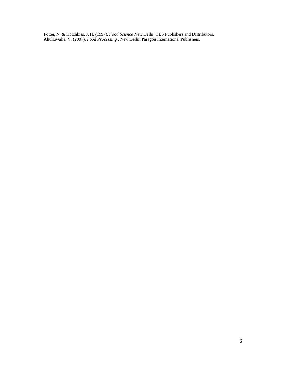Potter, N. & Hotchkiss, J. H. (1997). *Food Science* New Delhi: CBS Publishers and Distributors. Ahulluwalia, V. (2007). *Food Processing* , New Delhi: Paragon International Publishers.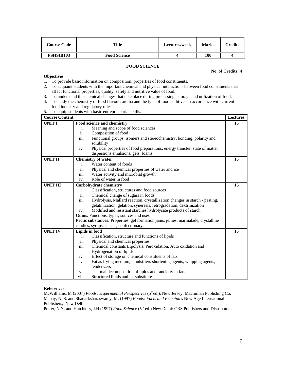| <b>Course Code</b> | Title               | Lectures/week | <b>Marks</b> | Credits |
|--------------------|---------------------|---------------|--------------|---------|
| <b>PSHSIB103</b>   | <b>Food Science</b> |               | 100          |         |

# **FOOD SCIENCE**

#### **No. of Credits: 4**

# **Objectives**

- 1. To provide basic information on composition, properties of food constituents.
- 2. To acquaint students with the important chemical and physical interactions between food constituents that affect functional properties, quality, safety and nutritive value of food.
- 3. To understand the chemical changes that take place during processing , storage and utilization of food.
- 4. To study the chemistry of food flavour, aroma and the type of food additives in accordance with current food industry and regulatory rules.
- 5. To equip students with basic entrepreneurial skills.

| <b>Course Content</b> |                                                                                                                         | Lectures |
|-----------------------|-------------------------------------------------------------------------------------------------------------------------|----------|
| <b>UNIT I</b>         | Food science and chemistry                                                                                              | 15       |
|                       | Meaning and scope of food sciences<br>i.                                                                                |          |
|                       | ii.<br>Composition of food                                                                                              |          |
|                       | iii.<br>Functional groups, isomers and stereochemistry, bonding, polarity and<br>solubility                             |          |
|                       | Physical properties of food preparations: energy transfer, state of matter<br>iv.<br>dispersions emulsions, gels, foams |          |
| <b>UNIT II</b>        | <b>Chemistry of water</b>                                                                                               | 15       |
|                       | Water content of foods<br>i.                                                                                            |          |
|                       | ii.<br>Physical and chemical properties of water and ice                                                                |          |
|                       | iii.<br>Water activity and microbial growth                                                                             |          |
|                       | Role of water in food<br>iv.                                                                                            |          |
| <b>UNIT III</b>       | <b>Carbohydrate chemistry</b>                                                                                           | 15       |
|                       | Classification, structures and food sources<br>i.                                                                       |          |
|                       | ii.<br>Chemical change of sugars in foods                                                                               |          |
|                       | iii.<br>Hydrolysis, Mallard reaction, crystallization changes in starch - pasting,                                      |          |
|                       | gelatinization, gelation, syneresis, retrogradation, dextrinization                                                     |          |
|                       | Modified and resistant starches hydrolysate products of starch.<br>iv.                                                  |          |
|                       | Gums: Functions, types, sources and uses                                                                                |          |
|                       | Pectic substances: Properties, gel formation jams, jellies, marmalade, crystalline                                      |          |
|                       | candies, syrups, sauces, confectionary.                                                                                 |          |
| <b>UNIT IV</b>        | <b>Lipids in food</b>                                                                                                   | 15       |
|                       | Classification, structure and functions of lipids<br>i.                                                                 |          |
|                       | ii.<br>Physical and chemical properties                                                                                 |          |
|                       | iii.<br>Chemical constants Lipolysis, Peroxidation, Auto oxidation and                                                  |          |
|                       | Hydrogenation of lipids.                                                                                                |          |
|                       | Effect of storage on chemical constituents of fats<br>iv.                                                               |          |
|                       | Fat as frying medium, emulsifiers shortening agents, whipping agents,<br>V.                                             |          |
|                       | tenderizers                                                                                                             |          |
|                       | Thermal decomposition of lipids and rancidity in fats<br>vi.                                                            |          |
|                       | vii.<br>Structured lipids and fat substitutes                                                                           |          |

#### **References**

McWilliams, M (2007) *Foods: Experimental Perspectives* (5thed.), New Jersey: Macmillan Publishing Co. Manay, N. S. and Shadarksharaswamy, M. (1997) *Foods: Facts and Principles* New Age International Publishers, New Delhi.

Potter, N.N. and Hutchkiss, J.H (1997) *Food Science* (5<sup>th</sup> ed.) New Delhi: CBS Publishers and Distributors.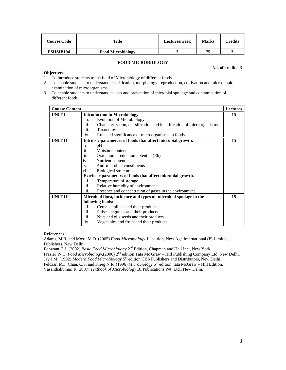| Course Code      | Title                    | Lectures/week | <b>Marks</b> | Credits |
|------------------|--------------------------|---------------|--------------|---------|
| <b>PSHSIB104</b> | <b>Food Microbiology</b> |               | 75           |         |

# **FOOD MICROBIOLOGY**

#### **No. of credits: 3**

# **Objectives**

- 1. To introduce students to the field of Microbiology of different foods.
- 2. To enable students to understand classification, morphology, reproduction, cultivation and microscopic examination of microorganisms.
- 3. To enable students to understand causes and prevention of microbial spoilage and contamination of different foods.

| <b>Course Content</b> |                                                                              | <b>Lectures</b> |
|-----------------------|------------------------------------------------------------------------------|-----------------|
| UNIT I                | <b>Introduction to Microbiology</b>                                          | 15              |
|                       | <b>Evolution of Microbiology</b><br>i.                                       |                 |
|                       | ii.<br>Characterization, classification and identification of microorganisms |                 |
|                       | iii.<br>Taxonomy                                                             |                 |
|                       | Role and significance of microorganisms in foods<br>iv.                      |                 |
| <b>UNIT II</b>        | Intrinsic parameters of foods that affect microbial growth.                  | 15              |
|                       | pH<br>i.                                                                     |                 |
|                       | ii.<br>Moisture content                                                      |                 |
|                       | iii.<br>Oxidation – reduction potential (Eh)                                 |                 |
|                       | Nutrient content<br>iv.                                                      |                 |
|                       | Anti-microbial constituents<br>V.                                            |                 |
|                       | Biological structures<br>Vİ.                                                 |                 |
|                       | Extrinsic parameters of foods that affect microbial growth.                  |                 |
|                       | Temperature of storage<br>i.                                                 |                 |
|                       | ii.<br>Relative humidity of environment                                      |                 |
|                       | iii.<br>Presence and concentration of gases in the environment               |                 |
| <b>UNIT III</b>       | Microbial flora, incidence and types of microbial spoilage in the            | 15              |
|                       | following foods:-                                                            |                 |
|                       | Cereals, millets and their products<br>i.                                    |                 |
|                       | ii.<br>Pulses, legumes and their products                                    |                 |
|                       | iii.<br>Nuts and oils seeds and their products                               |                 |
|                       | Vegetables and fruits and their products<br>iv.                              |                 |

### **References**

Adams, M.R. and Moss, M.O. (2005) *Food Microbiology* 1<sup>st</sup> edition, New Age International (P) Limited, Publishers, New Delhi.

Banwant G,J, (2002) *Basic Food Microbiology* 2nd Edition, Chapman and Hall Inc., New York Frazier W.C. *Food Microbiology*,(2000) 2nd edition Tata Mc Graw – Hill Publishing Company Ltd. New Delhi.

Jay J.M. (1992) *Modern Food Microbiology* 5<sup>th</sup> edition CBS Publishers and Distributors, New Delhi. Pelczar, M.J. Chan. C.S. and Krieg N.R. (1996) *Microbiology* 5<sup>th</sup> edition, tata McGraw – Hill Edition.

Vasanthakumari R (2007) *Textbook of Microbiology* BI Publications Pvt. Ltd., New Delhi.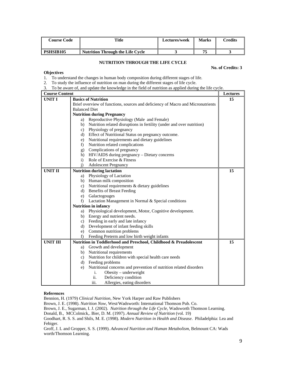| <b>Course Code</b> | Title                                   | <b>Lectures/week</b> | <b>Marks</b> | $\gamma$ redits |
|--------------------|-----------------------------------------|----------------------|--------------|-----------------|
| <b>PSHSIB105</b>   | <b>Nutrition Through the Life Cycle</b> |                      | 75           |                 |

# **NUTRITION THROUGH THE LIFE CYCLE**

**No. of Credits: 3** 

# **Objectives**

1. To understand the changes in human body composition during different stages of life.

2. To study the influence of nutrition on man during the different stages of life cycle.

3. To be aware of, and update the knowledge in the field of nutrition as applied during the life cycle.

| <b>Course Content</b> |                                                                                 | Lectures |
|-----------------------|---------------------------------------------------------------------------------|----------|
| <b>UNIT I</b>         | <b>Basics of Nutrition</b>                                                      | 15       |
|                       | Brief overview of functions, sources and deficiency of Macro and Micronutrients |          |
|                       | <b>Balanced Diet</b>                                                            |          |
|                       | <b>Nutrition during Pregnancy</b>                                               |          |
|                       | Reproductive Physiology (Male and Female)<br>a)                                 |          |
|                       | Nutrition related disruptions in fertility (under and over nutrition)<br>b)     |          |
|                       | c) Physiology of pregnancy                                                      |          |
|                       | d) Effect of Nutritional Status on pregnancy outcome.                           |          |
|                       | Nutritional requirements and dietary guidelines<br>e)                           |          |
|                       | Nutrition related complications<br>f)                                           |          |
|                       | Complications of pregnancy<br>g)                                                |          |
|                       | HIV/AIDS during pregnancy - Dietary concerns<br>h)                              |          |
|                       | Role of Exercise & Fitness<br>$\mathbf{i}$                                      |          |
|                       | <b>Adolescent Pregnancy</b><br>$\ddot{1}$                                       |          |
| <b>UNIT II</b>        | <b>Nutrition during lactation</b>                                               | 15       |
|                       | Physiology of Lactation<br>a)                                                   |          |
|                       | Human milk composition<br>b)                                                    |          |
|                       | Nutritional requirements & dietary guidelines<br>c)                             |          |
|                       | <b>Benefits of Breast Feeding</b><br>d)                                         |          |
|                       | e) Galactogouges                                                                |          |
|                       | Lactation Management in Normal & Special conditions<br>$f$ )                    |          |
|                       | <b>Nutrition in infancy</b>                                                     |          |
|                       | Physiological development, Motor, Cognitive development.<br>a)                  |          |
|                       | b) Energy and nutrient needs.                                                   |          |
|                       | c) Feeding in early and late infancy                                            |          |
|                       | d) Development of infant feeding skills                                         |          |
|                       | e) Common nutrition problems                                                    |          |
|                       | Feeding Preterm and low birth weight infants<br>f)                              |          |
| <b>UNIT III</b>       | Nutrition in Toddlerhood and Preschool, Childhood & Preadolescent               | 15       |
|                       | Growth and development<br>a)                                                    |          |
|                       | b) Nutritional requirements                                                     |          |
|                       | Nutrition for children with special health care needs<br>c)                     |          |
|                       | d) Feeding problems                                                             |          |
|                       | Nutritional concerns and prevention of nutrition related disorders<br>e)        |          |
|                       | Obesity – underweight<br>i.                                                     |          |
|                       | ii.<br>Deficiency condition                                                     |          |
|                       | iii.<br>Allergies, eating disorders                                             |          |

### **References**

Bennion, H. (1979) *Clinical Nutrition*, New York Harper and Raw Publishers

Brown, J. E. (1998). *Nutrition Now,* West/Wadsworth: International Thomson Pub. Co.

Brown, J. E., Sugarman, I. J. (2002). *Nutrition through the Life Cycle*, Wadsworth Thomson Learning.

Donald, B., MCColmick,. Bier, D. M. (1997). *Annual Review of Nutrition* (vol. 19)

Groff, J. L and Gropper, S. S. (1999). *Advanced Nutrition and Human Metabolism*, Belmount CA: Wads worth/Thomson Learning.

Goodhart, R. S. S. and Shils, M. E. (1998). *Modern Nutrition in Health and Disease*. Philadelphia: Lea and Febiger.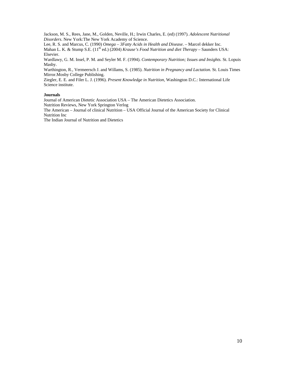Jackson, M. S., Rees, Jane, M., Golden, Neville, H.; Irwin Charles, E. (ed) (1997). *Adolescent Nutritional Disorders*. New York:The New York Academy of Science.

Lee, R. S. and Marcus, C. (1990) *Omega* – *3Fatty Acids in Health and Disease*. – Marcel dekker Inc. Mahan L. K. & Stump S.E. (11<sup>th</sup> ed.) (2004) *Krause's Food Nutrition and diet Therapy* – Saunders USA: Elsevier.

Wardlawy, G. M. Insel, P. M. and Seyler M. F. (1994). *Contemporary Nutrition; Issues and Insights.* St. Lopuis Masby.

Warthington, R., Vermeersch J. and Willams, S. (1985). *Nutrition in Pregnancy and Lactation.* St. Louis Times Mirror.Mosby College Publishing.

Ziegler, E. E. and Filer L. J. (1996). *Present Knowledge in Nutrition,* Washington D.C.: International Life Science institute.

#### **Journals**

Journal of American Dietetic Association USA – The American Dietetics Association.

Nutrition Reviews, New York Springton Verlog

The American – Journal of clinical Nutrition – USA Official Journal of the American Society for Clinical Nutrition Inc

The Indian Journal of Nutrition and Dietetics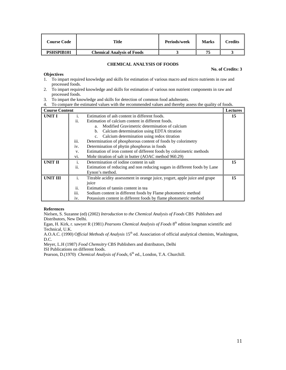| Course Code | Title                             | Periods/week | Marks | Credits |
|-------------|-----------------------------------|--------------|-------|---------|
| PSHSPIB101  | <b>Chemical Analysis of Foods</b> |              |       |         |

### **CHEMICAL ANALYSIS OF FOODS**

#### **No. of Credits: 3**

- **Objectives** 1. To impart required knowledge and skills for estimation of various macro and micro nutrients in raw and processed foods.
- 2. To impart required knowledge and skills for estimation of various non nutrient components in raw and processed foods.
- 3. To impart the knowledge and skills for detection of common food adulterants.

4. To compare the estimated values with the recommended values and thereby assess the quality of foods.

| <b>Course Content</b> |      |                                                                            | <b>Lectures</b> |
|-----------------------|------|----------------------------------------------------------------------------|-----------------|
| UNIT I                | i.   | Estimation of ash content in different foods.                              | 15              |
|                       | ii.  | Estimation of calcium content in different foods.                          |                 |
|                       |      | Modified Gravimetric determination of calcium<br>a <sub>1</sub>            |                 |
|                       |      | Calcium determination using EDTA titration<br>b.                           |                 |
|                       |      | Calcium determination using redox titration                                |                 |
|                       | iii. | Determination of phosphorous content of foods by colorimetry               |                 |
|                       | iv.  | Determination of phytin phosphorus in foods                                |                 |
|                       | V.   | Estimation of iron content of different foods by colorimetric methods      |                 |
|                       | Vİ.  | Mohr titration of salt in butter (AOAC method 960.29)                      |                 |
| <b>UNIT II</b>        | i.   | Determination of iodine content in salt                                    | 15              |
|                       | ii.  | Estimation of reducing and non reducing sugars in different foods by Lane  |                 |
|                       |      | Eynon's method.                                                            |                 |
| <b>UNIT III</b>       | i.   | Titrable acidity assessment in orange juice, yogurt, apple juice and grape | 15              |
|                       |      | juice                                                                      |                 |
|                       | ii.  | Estimation of tannin content in tea                                        |                 |
|                       | 111. | Sodium content in different foods by Flame photometric method              |                 |
|                       | iv.  | Potassium content in different foods by flame photometric method           |                 |

#### **References**

Nielsen, S. Suzanne (ed) (2002) *Introduction to the Chemical Analysis of Foods* CBS Publishers and Distributors, New Delhi.

Egan, H. Kirk, r. sawyer R (1981) *Pearsons Chemical Analysis of Foods* 8<sup>th</sup> edition longman scientific and Technical, U.K.

A.O.A.C. (1990) Official Methods of Analysis 15<sup>th</sup> ed. Association of official analytical chemists, Washington, D.C.

Meyer, L.H (1987) *Food Chemsitry* CBS Publishers and distributors, Delhi ISI Publications on different foods.

Pearson, D.(1970) *Chemical Analysis of Foods*, 6<sup>th</sup> ed., London, T.A. Churchill.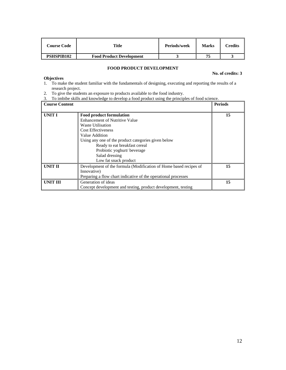| Course Code       | <b>Title</b>                    | Periods/week | <b>Marks</b> | <b>Predits</b> |
|-------------------|---------------------------------|--------------|--------------|----------------|
| <b>PSHSPIB102</b> | <b>Food Product Development</b> |              | 75           |                |

# **FOOD PRODUCT DEVELOPMENT**

#### **No. of credits: 3**

# **Objectives**

- 1. To make the student familiar with the fundamentals of designing, executing and reporting the results of a research project.
- 2. To give the students an exposure to products available to the food industry.
- 3. To imbibe skills and knowledge to develop a food product using the principles of food science.

| <b>Course Content</b> |                                                                                                                                                                                                                                      | <b>Periods</b> |
|-----------------------|--------------------------------------------------------------------------------------------------------------------------------------------------------------------------------------------------------------------------------------|----------------|
| UNIT I                | <b>Food product formulation</b><br><b>Enhancement of Nutritive Value</b><br>Waste Utilisation<br><b>Cost Effectiveness</b><br>Value Addition<br>Using any one of the product categories given below<br>Ready to eat breakfast cereal | 15             |
|                       | Probiotic yoghurt/beverage<br>Salad dressing<br>Low fat snack product                                                                                                                                                                |                |
| <b>UNIT II</b>        | Development of the formula (Modification of Home based recipes of<br>Innovative)<br>Preparing a flow chart indicative of the operational processes                                                                                   | 15             |
| <b>UNIT III</b>       | Generation of ideas<br>Concept development and testing, product development, testing                                                                                                                                                 | 15             |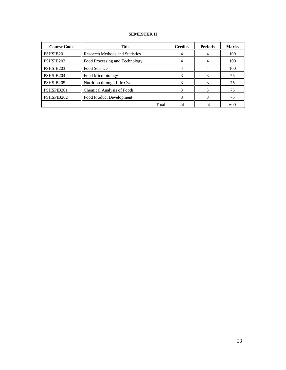# **SEMESTER II**

| <b>Course Code</b> | <b>Title</b>                           | <b>Credits</b> | <b>Periods</b> | <b>Marks</b> |
|--------------------|----------------------------------------|----------------|----------------|--------------|
| PSHSIB201          | <b>Research Methods and Statistics</b> |                |                | 100          |
| PSHSIB202          | Food Processing and Technology         |                |                | 100          |
| PSHSIB203          | Food Science                           |                |                | 100          |
| PSHSIB204          | Food Microbiology                      |                |                | 75           |
| PSHSIB205          | Nutrition through Life Cycle           |                |                | 75           |
| PSHSPIB201         | <b>Chemical Analysis of Foods</b>      |                |                | 75           |
| PSHSPIB202         | Food Product Development               |                |                | 75           |
|                    | Total:                                 | 24             | 24             | 600          |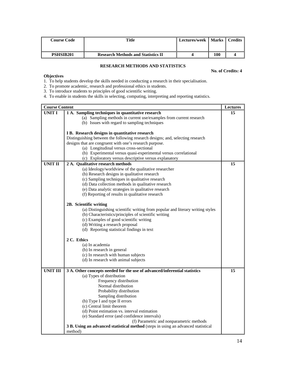| Course Code      | Title                                     | Lectures/week   Marks |     | <b>Credits</b> |
|------------------|-------------------------------------------|-----------------------|-----|----------------|
| <b>PSHSIB201</b> | <b>Research Methods and Statistics II</b> |                       | 100 |                |

# **RESEARCH METHODS AND STATISTICS**

# **No. of Credits: 4**

# **Objectives**

1. To help students develop the skills needed in conducting a research in their specialisation.

2. To promote academic, research and professional ethics in students.

3. To introduce students to principles of good scientific writing.

4. To enable in students the skills in selecting, computing, interpreting and reporting statistics.

| <b>Course Content</b> |                                                                                   | Lectures |
|-----------------------|-----------------------------------------------------------------------------------|----------|
| <b>UNIT I</b>         | 1 A. Sampling techniques in quantitative research                                 | 15       |
|                       | (a) Sampling methods in current use/examples from current research                |          |
|                       | (b) Issues with regard to sampling techniques                                     |          |
|                       |                                                                                   |          |
|                       | I B. Research designs in quantitative research                                    |          |
|                       | Distinguishing between the following research designs; and, selecting research    |          |
|                       | designs that are congruent with one's research purpose.                           |          |
|                       | (a) Longitudinal versus cross-sectional                                           |          |
|                       | (b) Experimental versus quasi-experimental versus correlational                   |          |
|                       | (c) Exploratory versus descriptive versus explanatory                             |          |
| <b>UNIT II</b>        | 2 A. Qualitative research methods                                                 | 15       |
|                       | (a) Ideology/worldview of the qualitative researcher                              |          |
|                       | (b) Research designs in qualitative research                                      |          |
|                       | (c) Sampling techniques in qualitative research                                   |          |
|                       | (d) Data collection methods in qualitative research                               |          |
|                       | (e) Data analytic strategies in qualitative research                              |          |
|                       | (f) Reporting of results in qualitative research                                  |          |
|                       |                                                                                   |          |
|                       | 2B. Scientific writing                                                            |          |
|                       | (a) Distinguishing scientific writing from popular and literary writing styles    |          |
|                       | (b) Characteristics/principles of scientific writing                              |          |
|                       | (c) Examples of good scientific writing                                           |          |
|                       | (d) Writing a research proposal                                                   |          |
|                       | (d) Reporting statistical findings in text                                        |          |
|                       | 2 C. Ethics                                                                       |          |
|                       | (a) In academia                                                                   |          |
|                       | (b) In research in general                                                        |          |
|                       | (c) In research with human subjects                                               |          |
|                       | (d) In research with animal subjects                                              |          |
|                       |                                                                                   |          |
| <b>UNIT III</b>       | 3 A. Other concepts needed for the use of advanced/inferential statistics         | 15       |
|                       | (a) Types of distribution                                                         |          |
|                       | Frequency distribution                                                            |          |
|                       | Normal distribution                                                               |          |
|                       | Probability distribution                                                          |          |
|                       | Sampling distribution                                                             |          |
|                       | (b) Type I and type II errors                                                     |          |
|                       | (c) Central limit theorem                                                         |          |
|                       | (d) Point estimation vs. interval estimation                                      |          |
|                       | (e) Standard error (and confidence intervals)                                     |          |
|                       | (f) Parametric and nonparametric methods                                          |          |
|                       | 3 B. Using an advanced statistical method (steps in using an advanced statistical |          |
|                       | method)                                                                           |          |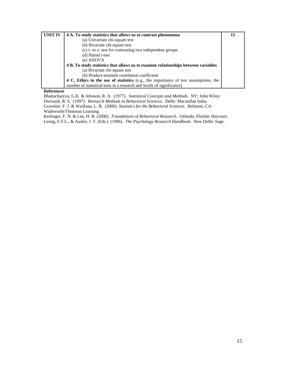| <b>UNIT IV</b> | 4 A. To study statistics that allows us to contrast phenomena                       | 15 |
|----------------|-------------------------------------------------------------------------------------|----|
|                | (a) Univariate chi-square test                                                      |    |
|                | (b) Bivariate chi-square test                                                       |    |
|                | (c) t- or z- test for contrasting two independent groups                            |    |
|                | (d) Paired t-test                                                                   |    |
|                | (e) ANOVA                                                                           |    |
|                | 4 B. To study statistics that allows us to examine relationships between variables  |    |
|                | (a) Bivariate chi-square test                                                       |    |
|                | (b) Product-moment correlation coefficient                                          |    |
|                | 4 C. Ethics in the use of statistics (e.g., the importance of test assumptions, the |    |
|                | number of statistical tests in a research and levels of significance)               |    |

#### **References**

Bhattacharyya, G.K. & Johnson, R. A. (1977). *Statistical Concepts and Methods.* NY: John Wiley.

Dwiwedi, R. S. (1997). *Research Methods in Behavioral Sciences.* Delhi: Macmillan India.

Gravetter, F. J. & Waillnau, L. B. (2000). *Statistics for the Behavioral Sciences.* Belmont, CA: Wadsworth/Thomson Learning.

Kerlinger, F. N. & Lee, H. B. (2000). *Foundations of Behavioral Research.* Orlando, Florida: Harcourt. Leong, F.T.L., & Austin, J. T. (Eds.) (1996). *The Psychology Research Handbook.* New Delhi: Sage.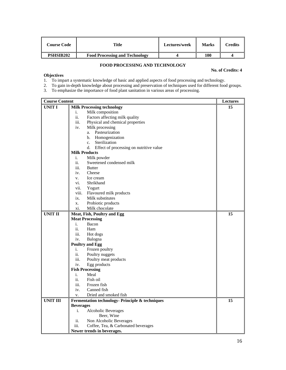| <b>Course Code</b> | Title                                 | Lectures/week | <b>Marks</b> | Credits |
|--------------------|---------------------------------------|---------------|--------------|---------|
| <b>PSHSIB202</b>   | <b>Food Processing and Technology</b> |               | 100          |         |

# **FOOD PROCESSING AND TECHNOLOGY**

### **No. of Credits: 4**

# **Objectives**

1. To impart a systematic knowledge of basic and applied aspects of food processing and technology.

2. To gain in-depth knowledge about processing and preservation of techniques used for different food groups.

3. To emphasize the importance of food plant sanitation in various areas of processing.

| <b>Course Content</b> |                                                 | <b>Lectures</b> |
|-----------------------|-------------------------------------------------|-----------------|
| UNIT I                | <b>Milk Processing technology</b>               | 15              |
|                       | i.<br>Milk composition                          |                 |
|                       | ii.<br>Factors affecting milk quality           |                 |
|                       | iii.<br>Physical and chemical properties        |                 |
|                       | iv.<br>Milk processing                          |                 |
|                       | a. Pasteurization                               |                 |
|                       | b. Homogenization                               |                 |
|                       | Sterilization<br>$c_{\cdot}$                    |                 |
|                       | Effect of processing on nutritive value<br>d.   |                 |
|                       | <b>Milk Products</b>                            |                 |
|                       | Milk powder<br>i.                               |                 |
|                       | ii.<br>Sweetened condensed milk                 |                 |
|                       | iii.<br><b>Butter</b>                           |                 |
|                       | iv.<br>Cheese                                   |                 |
|                       | V.<br>Ice cream                                 |                 |
|                       | vi.<br>Shrikhand                                |                 |
|                       | vii.<br>Yogurt                                  |                 |
|                       | viii.<br>Flavoured milk products                |                 |
|                       | ix.<br>Milk substitutes                         |                 |
|                       | Probiotic products<br>X.                        |                 |
|                       | xi.<br>Milk chocolate                           |                 |
| <b>UNIT II</b>        | Meat, Fish, Poultry and Egg                     | 15              |
|                       | <b>Meat Processing</b>                          |                 |
|                       | Bacon<br>i.                                     |                 |
|                       | ii.<br>Ham                                      |                 |
|                       | iii.<br>Hot dogs                                |                 |
|                       | iv.<br>Balogna                                  |                 |
|                       | <b>Poultry and Egg</b>                          |                 |
|                       | Frozen poultry<br>i.                            |                 |
|                       | ii.<br>Poultry nuggets                          |                 |
|                       | Poultry meat products<br>iii.                   |                 |
|                       | Egg products<br>iv.                             |                 |
|                       | <b>Fish Processing</b>                          |                 |
|                       | Meal<br>i.                                      |                 |
|                       | ii.<br>Fish oil                                 |                 |
|                       | iii.<br>Frozen fish                             |                 |
|                       | Canned fish<br>iv.                              |                 |
|                       | Dried and smoked fish<br>V.                     |                 |
| <b>UNIT III</b>       |                                                 | 15              |
|                       | Fermentation technology- Principle & techniques |                 |
|                       | <b>Beverages</b>                                |                 |
|                       | i.<br>Alcoholic Beverages                       |                 |
|                       | Beer, Wine                                      |                 |
|                       | Non Alcoholic Beverages<br>ii.                  |                 |
|                       | iii.<br>Coffee, Tea, & Carbonated beverages     |                 |
|                       | Newer trends in beverages.                      |                 |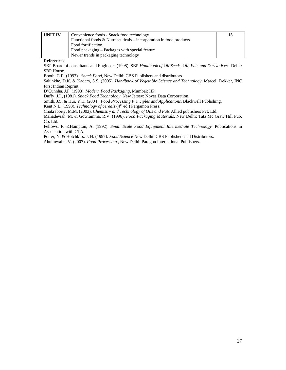| <b>UNIT IV</b> | Convenience foods - Snack food technology                           |  |
|----------------|---------------------------------------------------------------------|--|
|                | Functional foods $& Nutracentials - incorporation in food products$ |  |
|                | Food fortification                                                  |  |
|                | Food packaging – Packages with special feature                      |  |
|                | Newer trends in packaging technology                                |  |

**References** 

SBP Board of consultants and Engineers (1998). SBP *Handbook of Oil Seeds, Oil, Fats and Derivatives*. Delhi: SBP House.

Booth, G.R. (1997). *Snack Food*, New Delhi: CBS Publishers and distributors.

Salunkhe, D.K. & Kadam, S.S. (2005). *Handbook of Vegetable Science and Technology.* Marcel Dekker, INC First Indian Reprint .

D'Cunnha, J.F. (1998). *Modern Food Packaging*, Mumbai: IIP.

Duffy, J.I., (1981). *Snack Food Technology*, New Jersey: Noyes Data Corporation.

Smith, J.S. & Hui, Y.H. (2004). *Food Processing Principles and Applications.* Blackwell Publishing.

Kent N.L. (1993). *Technology of cereals* (4<sup>th</sup> ed.) Pergamon Press.

Chakraborty, M.M. (2003). *Chemistry and Technology of Oils and Fats* Allied publishers Pvt. Ltd.

Mahadeviah, M. & Gowramma, R.V. (1996). *Food Packaging Materials*. New Delhi: Tata Mc Graw Hill Pub. Co. Ltd.

Fellows, P. &Hampton, A. (1992). *Small Scale Food Equipment Intermediate Technology.* Publications in Association with CTA.

Potter, N. & Hotchkiss, J. H. (1997). *Food Science* New Delhi: CBS Publishers and Distributors.

Ahulluwalia, V. (2007). *Food Processing* , New Delhi: Paragon International Publishers.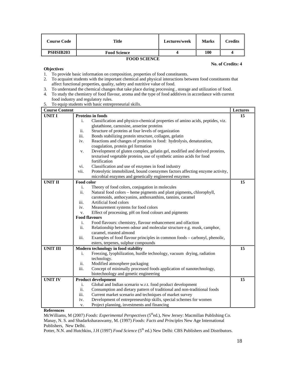| <b>Course Code</b> | Title               | Lectures/week | <b>Marks</b> | Credits |
|--------------------|---------------------|---------------|--------------|---------|
| <b>PSHSIB203</b>   | <b>Food Science</b> |               | 100          |         |
| EOOD SCIENCE       |                     |               |              |         |

#### **FOOD SCIENCE**

#### **No. of Credits: 4**

# **Objectives**

- 1. To provide basic information on composition, properties of food constituents.
- 2. To acquaint students with the important chemical and physical interactions between food constituents that affect functional properties, quality, safety and nutritive value of food.
- 3. To understand the chemical changes that take place during processing , storage and utilization of food.
- 4. To study the chemistry of food flavour, aroma and the type of food additives in accordance with current food industry and regulatory rules.
- 5. To equip students with basic entrepreneurial skills.

| <b>Course Content</b> |            |                                                                               | Lectures |
|-----------------------|------------|-------------------------------------------------------------------------------|----------|
| <b>UNIT I</b>         |            | <b>Proteins in foods</b>                                                      | 15       |
|                       | i.         | Classification and physico-chemical properties of amino acids, peptides, viz. |          |
|                       |            | glutathione, carnosine, anserine proteins                                     |          |
|                       | ii.        | Structure of proteins at four levels of organization                          |          |
|                       | iii.       | Bonds stabilizing protein structure, collagen, gelatin                        |          |
|                       | iv.        | Reactions and changes of proteins in food: hydrolysis, denaturation,          |          |
|                       |            | coagulation, protein gel formation                                            |          |
|                       | V.         | Development of gluten complex, gelatin gel, modified and derived proteins,    |          |
|                       |            | texturised vegetable proteins, use of synthetic amino acids for food          |          |
|                       |            | fortification                                                                 |          |
|                       | vi.        | Classification and use of enzymes in food industry                            |          |
|                       | vii.       | Proteolytic immobilized, bound coenzymes factors affecting enzyme activity,   |          |
|                       |            | microbial enzymes and genetically engineered enzymes                          |          |
| <b>UNIT II</b>        | Food color |                                                                               | 15       |
|                       | i.         | Theory of food colors, conjugation in molecules                               |          |
|                       | ii.        | Natural food colors - heme pigments and plant pigments, chlorophyll,          |          |
|                       |            | carotenoids, anthocyanins, anthoxanthins, tannins, caramel                    |          |
|                       | iii.       | Artificial food colors                                                        |          |
|                       | iv.        | Measurement systems for food colors                                           |          |
|                       | v.         | Effect of processing, pH on food colours and pigments                         |          |
|                       |            | <b>Food flavours</b>                                                          |          |
|                       | i.         | Food flavours: chemistry, flavour enhancement and olfaction                   |          |
|                       | ii.        | Relationship between odour and molecular structure e.g. musk, camphor,        |          |
|                       |            | caramel, roasted almond                                                       |          |
|                       | iii.       | Examples of food flavour principles in common foods – carbonyl, phenolic,     |          |
|                       |            | esters, terpenes, sulphur compounds                                           |          |
| <b>UNIT III</b>       |            | Modern technology in food stability                                           | 15       |
|                       | i.         | Freezing, lyophilization, hurdle technology, vacuum drying, radiation         |          |
|                       |            | technology.                                                                   |          |
|                       | ii.        | Modified atmosphere packaging                                                 |          |
|                       | iii.       | Concept of minimally processed foods application of nanotechnology,           |          |
|                       |            | biotechnology and genetic engineering                                         |          |
| <b>UNIT IV</b>        |            | <b>Product development</b>                                                    | 15       |
|                       | i.         | Global and Indian scenario w.r.t. food product development                    |          |
|                       | ii.        | Consumption and dietary pattern of traditional and non-traditional foods      |          |
|                       | iii.       | Current market scenario and techniques of market survey                       |          |
|                       | iv.        | Development of entrepreneurship skills, special schemes for women             |          |
|                       | v.         | Project planning, investments and financing                                   |          |

### **References**

McWilliams, M (2007) *Foods: Experimental Perspectives* (5thed.), New Jersey: Macmillan Publishing Co. Manay, N. S. and Shadarksharaswamy, M. (1997) *Foods: Facts and Principles* New Age International Publishers, New Delhi.

Potter, N.N. and Hutchkiss, J.H (1997) *Food Science* (5<sup>th</sup> ed.) New Delhi: CBS Publishers and Distributors.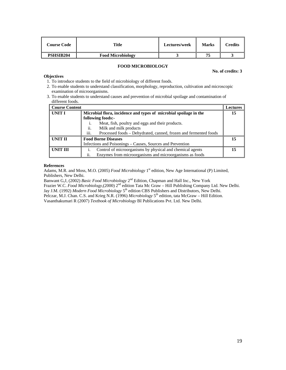| <b>Course Code</b> | Title                    | Lectures/week | <b>Marks</b> | Credits |
|--------------------|--------------------------|---------------|--------------|---------|
| <b>PSHSIB204</b>   | <b>Food Microbiology</b> |               | 75           |         |

### **FOOD MICROBIOLOGY**

#### **No. of credits: 3**

# **Objectives**

- 1. To introduce students to the field of microbiology of different foods.
- 2. To enable students to understand classification, morphology, reproduction, cultivation and microscopic examination of microorganisms.
- 3. To enable students to understand causes and prevention of microbial spoilage and contamination of different foods.

| Course Content |                                                                          |    |
|----------------|--------------------------------------------------------------------------|----|
| UNIT I         | Microbial flora, incidence and types of microbial spoilage in the        | 15 |
|                | following foods:-                                                        |    |
|                | Meat, fish, poultry and eggs and their products.<br>1.                   |    |
|                | ii.<br>Milk and milk products                                            |    |
|                | iii.<br>Processed foods – Dehydrated, canned, frozen and fermented foods |    |
| UNIT II        | <b>Food Borne Diseases</b>                                               | 15 |
|                | Infections and Poisonings – Causes, Sources and Prevention               |    |
| UNIT III       | Control of microorganisms by physical and chemical agents                | 15 |
|                | Enzymes from microorganisms and microorganisms as foods<br>ii.           |    |

#### **References**

Adams, M.R. and Moss, M.O. (2005) *Food Microbiology* 1<sup>st</sup> edition, New Age International (P) Limited, Publishers, New Delhi.

Banwant G,J, (2002) *Basic Food Microbiology* 2nd Edition, Chapman and Hall Inc., New York

Frazier W.C. *Food Microbiology*,(2000) 2nd edition Tata Mc Graw – Hill Publishing Company Ltd. New Delhi. Jay J.M. (1992) *Modern Food Microbiology* 5<sup>th</sup> edition CBS Publishers and Distributors, New Delhi.

Pelczar, M.J. Chan. C.S. and Krieg N.R. (1996) *Microbiology* 5<sup>th</sup> edition, tata McGraw – Hill Edition.

Vasanthakumari R (2007) *Textbook of Microbiology* BI Publications Pvt. Ltd. New Delhi.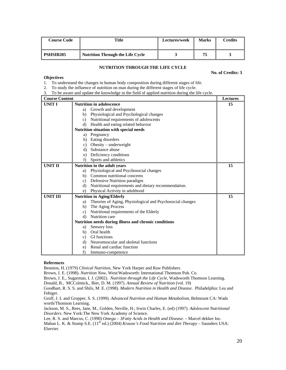| <b>Course Code</b> | Title                                   | Lectures/week | <b>Marks</b> | Credits |
|--------------------|-----------------------------------------|---------------|--------------|---------|
| <b>PSHSIB205</b>   | <b>Nutrition Through the Life Cycle</b> |               | 75           |         |

# **NUTRITION THROUGH THE LIFE CYCLE**

**No. of Credits: 3** 

### **Objectives**

1. To understand the changes in human body composition during different stages of life.

2. To study the influence of nutrition on man during the different stages of life cycle.

3. To be aware and update the knowledge in the field of applied nutrition during the life cycle.

| <b>Course Content</b> |                                                                 | <b>Lectures</b> |
|-----------------------|-----------------------------------------------------------------|-----------------|
| <b>UNIT I</b>         | <b>Nutrition in adolescence</b>                                 | 15              |
|                       | Growth and development<br>a)                                    |                 |
|                       | Physiological and Psychological changes<br>b)                   |                 |
|                       | Nutritional requirements of adolescents<br>c)                   |                 |
|                       | Health and eating related behavior<br>d)                        |                 |
|                       | Nutrition situation with special needs                          |                 |
|                       | a) Pregnancy                                                    |                 |
|                       | Eating disorders<br>b)                                          |                 |
|                       | Obesity – underweight<br>c)                                     |                 |
|                       | Substance abuse<br>d)                                           |                 |
|                       | Deficiency conditions<br>e)                                     |                 |
|                       | Sports and athletics<br>f)                                      |                 |
| <b>UNIT II</b>        | Nutrition in the adult years                                    | 15              |
|                       | Physiological and Psychosocial changes<br>a)                    |                 |
|                       | Common nutritional concerns<br>b)                               |                 |
|                       | Defensive Nutrition paradigm<br>c)                              |                 |
|                       | Nutritional requirements and dietary recommendation.<br>d)      |                 |
|                       | Physical Activity in adulthood<br>e)                            |                 |
| <b>UNIT III</b>       | <b>Nutrition in Aging/Elderly</b>                               | 15              |
|                       | Theories of Aging, Physiological and Psychosocial changes<br>a) |                 |
|                       | The Aging Process<br>b)                                         |                 |
|                       | Nutritional requirements of the Elderly<br>$\mathbf{c}$ )       |                 |
|                       | Nutrition care<br>d)                                            |                 |
|                       | Nutrition needs during illness and chronic conditions           |                 |
|                       | Sensory loss<br>a)                                              |                 |
|                       | Oral health<br>b)                                               |                 |
|                       | GI functions<br>c)                                              |                 |
|                       | Neuromuscular and skeletal functions<br>d)                      |                 |
|                       | Renal and cardiac function<br>e)                                |                 |
|                       | f)<br>Immuno-competence                                         |                 |

#### **References**

Bennion, H. (1979) *Clinical Nutrition*, New York Harper and Raw Publishers

Brown, J. E. (1998). *Nutrition Now,* West/Wadsworth: International Thomson Pub. Co.

Brown, J. E., Sugarman, I. J. (2002). *Nutrition through the Life Cycle*, Wadsworth Thomson Learning.

Donald, B., MCColmick,. Bier, D. M. (1997). *Annual Review of Nutrition* (vol. 19)

Goodhart, R. S. S. and Shils, M. E. (1998). *Modern Nutrition in Health and Disease*. Philadelphia: Lea and Febiger.

Groff, J. L and Gropper, S. S. (1999). *Advanced Nutrition and Human Metabolism*, Belmount CA: Wads worth/Thomson Learning.

Jackson, M. S., Rees, Jane, M., Golden, Neville, H.; Irwin Charles, E. (ed) (1997). *Adolescent Nutritional Disorders*. New York:The New York Academy of Science.

Lee, R. S. and Marcus, C. (1990) *Omega* – *3Fatty Acids in Health and Disease*. – Marcel dekker Inc.

Mahan L. K. & Stump S.E. (11<sup>th</sup> ed.) (2004) *Krause's Food Nutrition and diet Therapy* – Saunders USA: Elsevier.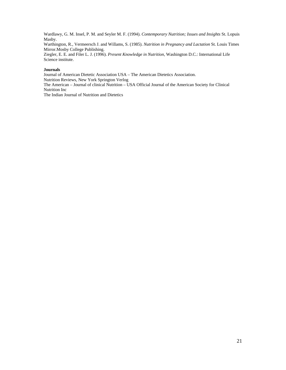Wardlawy, G. M. Insel, P. M. and Seyler M. F. (1994). *Contemporary Nutrition; Issues and Insights* St. Lopuis Masby.

Warthington, R., Vermeersch J. and Willams, S. (1985). *Nutrition in Pregnancy and Lactation* St. Louis Times Mirror.Mosby College Publishing.

Ziegler, E. E. and Filer L. J. (1996). *Present Knowledge in Nutrition,* Washington D.C.: International Life Science institute.

# **Journals**

Journal of American Dietetic Association USA – The American Dietetics Association. Nutrition Reviews, New York Springton Verlog The American – Journal of clinical Nutrition – USA Official Journal of the American Society for Clinical

Nutrition Inc The Indian Journal of Nutrition and Dietetics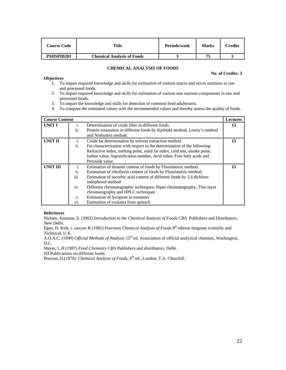| Course Code       | Title                             | Periods/week | Marks | Credits |
|-------------------|-----------------------------------|--------------|-------|---------|
| <b>PSHSPIB201</b> | <b>Chemical Analysis of Foods</b> |              |       |         |

# **CHEMICAL ANALYSIS OF FOODS**

#### **No. of Credits: 3**

#### **Objectives**

- 1. To impart required knowledge and skills for estimation of various macro and micro nutrients in raw and processed foods.
- 2. To impart required knowledge and skills for estimation of various non nutrient components in raw and processed foods.
- 3. To impart the knowledge and skills for detection of common food adulterants.
- 4. To compare the estimated values with the recommended values and thereby assess the quality of foods.

| <b>Course Content</b> |      |                                                                           | <b>Lectures</b> |
|-----------------------|------|---------------------------------------------------------------------------|-----------------|
| <b>UNIT I</b>         | 1.   | Determination of crude fiber in different foods.                          | 15              |
|                       | ii.  | Protein estimation in different foods by Kjeldahl method, Lowry's method  |                 |
|                       |      | and Ninhydrin method.                                                     |                 |
| <b>UNIT II</b>        | i.   | Crude fat determination by solvent extraction method                      | 15              |
|                       | ii.  | Fat characterization with respect to the determination of the following:  |                 |
|                       |      | Refractive index, melting point, solid fat index, cold test, smoke point, |                 |
|                       |      | Iodine value, Saponification number, Acid value, Free fatty acids and     |                 |
|                       |      | Peroxide value                                                            |                 |
| <b>UNIT III</b>       | i.   | Estimation of thiamin content of foods by Fluorimetric method.            | 15              |
|                       | ii.  | Estimation of riboflavin content of foods by Fluorimetric method.         |                 |
|                       | iii. | Estimation of ascorbic acid content of different foods by 2,6 dichloro    |                 |
|                       |      | indophenol method                                                         |                 |
|                       | iv.  | Different chromatographic techniques: Paper chromatography, Thin layer    |                 |
|                       |      | chromatography and HPLC techniques                                        |                 |
|                       | V.   | Estimation of lycopene in tomatoes                                        |                 |
|                       | VI.  | Estimation of oxalates from spinach                                       |                 |

#### **References**

Nielsen, Suzanne, S. (2002) *Introduction to the Chemical Analysis of Foods* CBS Publishers and Distributors, New Delhi.

Egan, H. Kirk, r. sawyer R (1981) *Pearsons Chemical Analysis of Foods* 8<sup>th</sup> edition longman scientific and Technical, U.K.

A.O.A.C. (1990) Official Methods of Analysis 15<sup>th</sup> ed. Association of official analytical chemists, Washington, D.C.

Meyer, L.H (1987) *Food Chemsitry* CBS Publishers and distributors, Delhi.

ISI Publications on different foods.

Pearson, D.(1970) *Chemical Analysis of Foods*, 6<sup>th</sup> ed., London, T.A. Churchill.